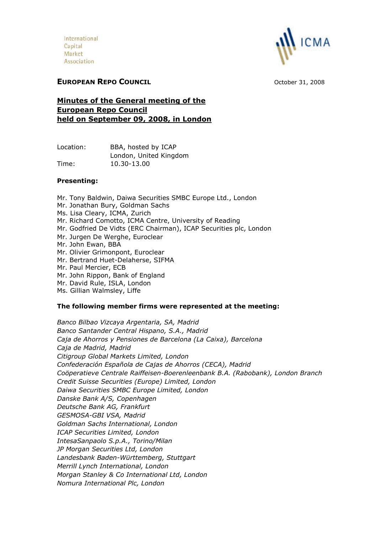International Capital Market Association



# **EUROPEAN REPO COUNCIL** October 31, 2008

**Minutes of the General meeting of the European Repo Council held on September 09, 2008, in London**

| Location: | BBA, hosted by ICAP    |
|-----------|------------------------|
|           | London, United Kingdom |
| Time:     | 10.30-13.00            |

## **Presenting:**

Mr. Tony Baldwin, Daiwa Securities SMBC Europe Ltd., London Mr. Jonathan Bury, Goldman Sachs Ms. Lisa Cleary, ICMA, Zurich Mr. Richard Comotto, ICMA Centre, University of Reading Mr. Godfried De Vidts (ERC Chairman), ICAP Securities plc, London Mr. Jurgen De Werghe, Euroclear Mr. John Ewan, BBA Mr. Olivier Grimonpont, Euroclear Mr. Bertrand Huet-Delaherse, SIFMA Mr. Paul Mercier, ECB Mr. John Rippon, Bank of England Mr. David Rule, ISLA, London

Ms. Gillian Walmsley, Liffe

### **The following member firms were represented at the meeting:**

*Banco Bilbao Vizcaya Argentaria, SA, Madrid Banco Santander Central Hispano, S.A., Madrid Caja de Ahorros y Pensiones de Barcelona (La Caixa), Barcelona Caja de Madrid, Madrid Citigroup Global Markets Limited, London Confederación Española de Cajas de Ahorros (CECA), Madrid Coöperatieve Centrale Raiffeisen-Boerenleenbank B.A. (Rabobank), London Branch Credit Suisse Securities (Europe) Limited, London Daiwa Securities SMBC Europe Limited, London Danske Bank A/S, Copenhagen Deutsche Bank AG, Frankfurt GESMOSA-GBI VSA, Madrid Goldman Sachs International, London ICAP Securities Limited, London IntesaSanpaolo S.p.A., Torino/Milan JP Morgan Securities Ltd, London Landesbank Baden-Württemberg, Stuttgart Merrill Lynch International, London Morgan Stanley & Co International Ltd, London Nomura International Plc, London*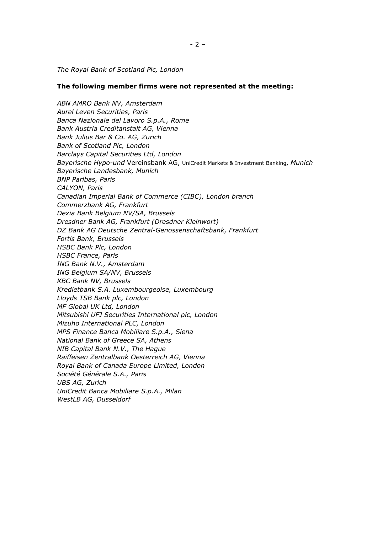*The Royal Bank of Scotland Plc, London*

#### **The following member firms were not represented at the meeting:**

*ABN AMRO Bank NV, Amsterdam Aurel Leven Securities, Paris Banca Nazionale del Lavoro S.p.A., Rome Bank Austria Creditanstalt AG, Vienna Bank Julius Bär & Co. AG, Zurich Bank of Scotland Plc, London Barclays Capital Securities Ltd, London Bayerische Hypo-und* Vereinsbank AG, UniCredit Markets & Investment Banking**,** *Munich Bayerische Landesbank, Munich BNP Paribas, Paris CALYON, Paris Canadian Imperial Bank of Commerce (CIBC), London branch Commerzbank AG, Frankfurt Dexia Bank Belgium NV/SA, Brussels Dresdner Bank AG, Frankfurt (Dresdner Kleinwort) DZ Bank AG Deutsche Zentral-Genossenschaftsbank, Frankfurt Fortis Bank, Brussels HSBC Bank Plc, London HSBC France, Paris ING Bank N.V., Amsterdam ING Belgium SA/NV, Brussels KBC Bank NV, Brussels Kredietbank S.A. Luxembourgeoise, Luxembourg Lloyds TSB Bank plc, London MF Global UK Ltd, London Mitsubishi UFJ Securities International plc, London Mizuho International PLC, London MPS Finance Banca Mobiliare S.p.A., Siena National Bank of Greece SA, Athens NIB Capital Bank N.V., The Hague Raiffeisen Zentralbank Oesterreich AG, Vienna Royal Bank of Canada Europe Limited, London Société Générale S.A., Paris UBS AG, Zurich UniCredit Banca Mobiliare S.p.A., Milan WestLB AG, Dusseldorf*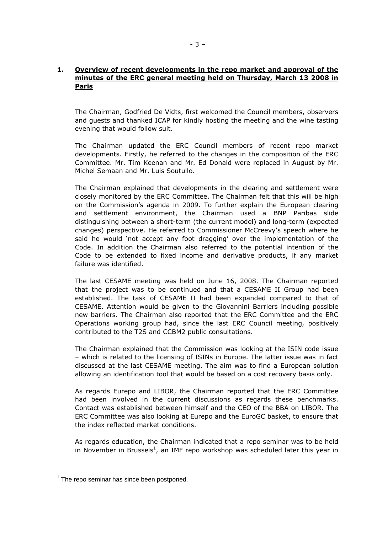## **1. Overview of recent developments in the repo market and approval of the minutes of the ERC general meeting held on Thursday, March 13 2008 in Paris**

The Chairman, Godfried De Vidts, first welcomed the Council members, observers and guests and thanked ICAP for kindly hosting the meeting and the wine tasting evening that would follow suit.

The Chairman updated the ERC Council members of recent repo market developments. Firstly, he referred to the changes in the composition of the ERC Committee. Mr. Tim Keenan and Mr. Ed Donald were replaced in August by Mr. Michel Semaan and Mr. Luis Soutullo.

The Chairman explained that developments in the clearing and settlement were closely monitored by the ERC Committee. The Chairman felt that this will be high on the Commission's agenda in 2009. To further explain the European clearing and settlement environment, the Chairman used a BNP Paribas slide distinguishing between a short-term (the current model) and long-term (expected changes) perspective. He referred to Commissioner McCreevy's speech where he said he would 'not accept any foot dragging' over the implementation of the Code. In addition the Chairman also referred to the potential intention of the Code to be extended to fixed income and derivative products, if any market failure was identified.

The last CESAME meeting was held on June 16, 2008. The Chairman reported that the project was to be continued and that a CESAME II Group had been established. The task of CESAME II had been expanded compared to that of CESAME. Attention would be given to the Giovannini Barriers including possible new barriers. The Chairman also reported that the ERC Committee and the ERC Operations working group had, since the last ERC Council meeting, positively contributed to the T2S and CCBM2 public consultations.

The Chairman explained that the Commission was looking at the ISIN code issue – which is related to the licensing of ISINs in Europe. The latter issue was in fact discussed at the last CESAME meeting. The aim was to find a European solution allowing an identification tool that would be based on a cost recovery basis only.

As regards Eurepo and LIBOR, the Chairman reported that the ERC Committee had been involved in the current discussions as regards these benchmarks. Contact was established between himself and the CEO of the BBA on LIBOR. The ERC Committee was also looking at Eurepo and the EuroGC basket, to ensure that the index reflected market conditions.

As regards education, the Chairman indicated that a repo seminar was to be held in November in Brussels<sup>[1](#page-2-0)</sup>, an IMF repo workshop was scheduled later this year in

<span id="page-2-0"></span> $1$  The repo seminar has since been postponed.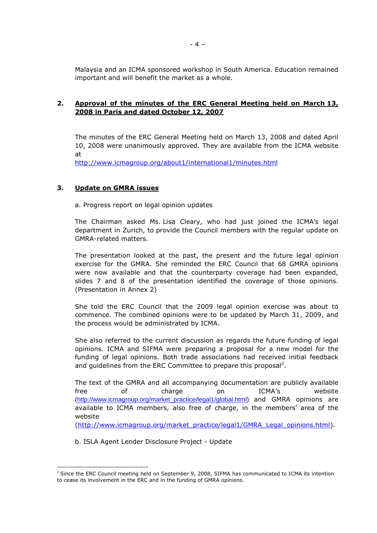Malaysia and an ICMA sponsored workshop in South America. Education remained important and will benefit the market as a whole.

### **2. Approval of the minutes of the ERC General Meeting held on March 13, 2008 in Paris and dated October 12, 2007**

The minutes of the ERC General Meeting held on March 13, 2008 and dated April 10, 2008 were unanimously approved. They are available from the ICMA website at

<http://www.icmagroup.org/about1/international1/minutes.html>

### **3. Update on GMRA issues**

a. Progress report on legal opinion updates

The Chairman asked Ms. Lisa Cleary, who had just joined the ICMA's legal department in Zurich, to provide the Council members with the regular update on GMRA-related matters.

The presentation looked at the past, the present and the future legal opinion exercise for the GMRA. She reminded the ERC Council that 68 GMRA opinions were now available and that the counterparty coverage had been expanded, slides 7 and 8 of the presentation identified the coverage of those opinions. (Presentation in Annex 2)

She told the ERC Council that the 2009 legal opinion exercise was about to commence. The combined opinions were to be updated by March 31, 2009, and the process would be administrated by ICMA.

She also referred to the current discussion as regards the future funding of legal opinions. ICMA and SIFMA were preparing a proposal for a new model for the funding of legal opinions. Both trade associations had received initial feedback and guidelines from the ERC Committee to prepare this proposal<sup>2</sup>.

The text of the GMRA and all accompanying documentation are publicly available free of charge on ICMA's website ([http://www.icmagroup.org/market\\_practice/legal1/global.html\)](http://www.icmagroup.org/market_practice/legal1/global.html) and GMRA opinions are available to ICMA members, also free of charge, in the members' area of the website

([http://www.icmagroup.org/market\\_practice/legal1/GMRA\\_Legal\\_opinions.html\)](http://www.icmagroup.org/market_practice/legal1/GMRA_Legal_opinions.html).

b. ISLA Agent Lender Disclosure Project - Update

<sup>&</sup>lt;sup>2</sup> Since the ERC Council meeting held on September 9, 2008, SIFMA has communicated to ICMA its intention to cease its involvement in the ERC and in the funding of GMRA opinions.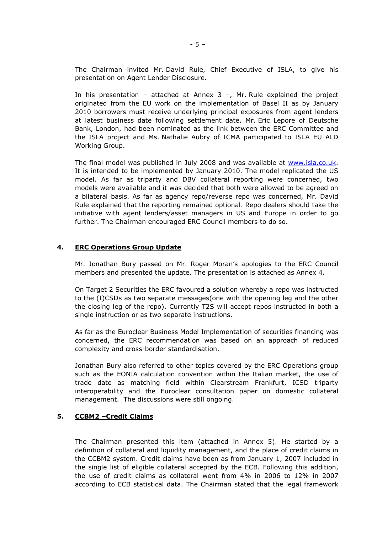The Chairman invited Mr. David Rule, Chief Executive of ISLA, to give his presentation on Agent Lender Disclosure.

In his presentation – attached at Annex  $3 -$ , Mr. Rule explained the project originated from the EU work on the implementation of Basel II as by January 2010 borrowers must receive underlying principal exposures from agent lenders at latest business date following settlement date. Mr. Eric Lepore of Deutsche Bank, London, had been nominated as the link between the ERC Committee and the ISLA project and Ms. Nathalie Aubry of ICMA participated to ISLA EU ALD Working Group.

The final model was published in July 2008 and was available at [www.isla.co.uk](http://www.isla.co.uk/). It is intended to be implemented by January 2010. The model replicated the US model. As far as triparty and DBV collateral reporting were concerned, two models were available and it was decided that both were allowed to be agreed on a bilateral basis. As far as agency repo/reverse repo was concerned, Mr. David Rule explained that the reporting remained optional. Repo dealers should take the initiative with agent lenders/asset managers in US and Europe in order to go further. The Chairman encouraged ERC Council members to do so.

### **4. ERC Operations Group Update**

Mr. Jonathan Bury passed on Mr. Roger Moran's apologies to the ERC Council members and presented the update. The presentation is attached as Annex 4.

On Target 2 Securities the ERC favoured a solution whereby a repo was instructed to the (I)CSDs as two separate messages(one with the opening leg and the other the closing leg of the repo). Currently T2S will accept repos instructed in both a single instruction or as two separate instructions.

As far as the Euroclear Business Model Implementation of securities financing was concerned, the ERC recommendation was based on an approach of reduced complexity and cross-border standardisation.

Jonathan Bury also referred to other topics covered by the ERC Operations group such as the EONIA calculation convention within the Italian market, the use of trade date as matching field within Clearstream Frankfurt, ICSD triparty interoperability and the Euroclear consultation paper on domestic collateral management. The discussions were still ongoing.

### **5. CCBM2 –Credit Claims**

The Chairman presented this item (attached in Annex 5). He started by a definition of collateral and liquidity management, and the place of credit claims in the CCBM2 system. Credit claims have been as from January 1, 2007 included in the single list of eligible collateral accepted by the ECB. Following this addition, the use of credit claims as collateral went from 4% in 2006 to 12% in 2007 according to ECB statistical data. The Chairman stated that the legal framework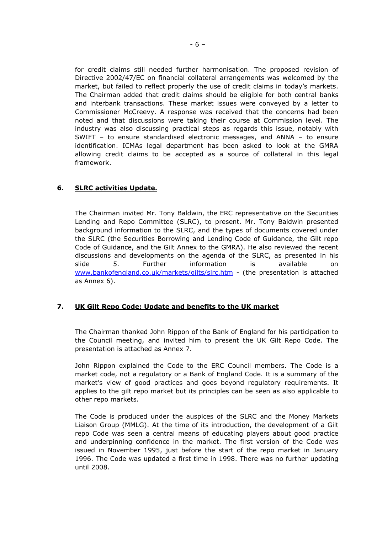for credit claims still needed further harmonisation. The proposed revision of Directive 2002/47/EC on financial collateral arrangements was welcomed by the market, but failed to reflect properly the use of credit claims in today's markets. The Chairman added that credit claims should be eligible for both central banks and interbank transactions. These market issues were conveyed by a letter to Commissioner McCreevy. A response was received that the concerns had been noted and that discussions were taking their course at Commission level. The industry was also discussing practical steps as regards this issue, notably with SWIFT – to ensure standardised electronic messages, and ANNA – to ensure identification. ICMAs legal department has been asked to look at the GMRA allowing credit claims to be accepted as a source of collateral in this legal framework.

## **6. SLRC activities Update.**

The Chairman invited Mr. Tony Baldwin, the ERC representative on the Securities Lending and Repo Committee (SLRC), to present. Mr. Tony Baldwin presented background information to the SLRC, and the types of documents covered under the SLRC (the Securities Borrowing and Lending Code of Guidance, the Gilt repo Code of Guidance, and the Gilt Annex to the GMRA). He also reviewed the recent discussions and developments on the agenda of the SLRC, as presented in his slide 5. Further information is available on [www.bankofengland.co.uk/markets/gilts/slrc.htm](http://www.bankofengland.co.uk/markets/gilts/slrc.htm) - (the presentation is attached as Annex 6).

## **7. UK Gilt Repo Code: Update and benefits to the UK market**

The Chairman thanked John Rippon of the Bank of England for his participation to the Council meeting, and invited him to present the UK Gilt Repo Code. The presentation is attached as Annex 7.

John Rippon explained the Code to the ERC Council members. The Code is a market code, not a regulatory or a Bank of England Code. It is a summary of the market's view of good practices and goes beyond regulatory requirements. It applies to the gilt repo market but its principles can be seen as also applicable to other repo markets.

The Code is produced under the auspices of the SLRC and the Money Markets Liaison Group (MMLG). At the time of its introduction, the development of a Gilt repo Code was seen a central means of educating players about good practice and underpinning confidence in the market. The first version of the Code was issued in November 1995, just before the start of the repo market in January 1996. The Code was updated a first time in 1998. There was no further updating until 2008.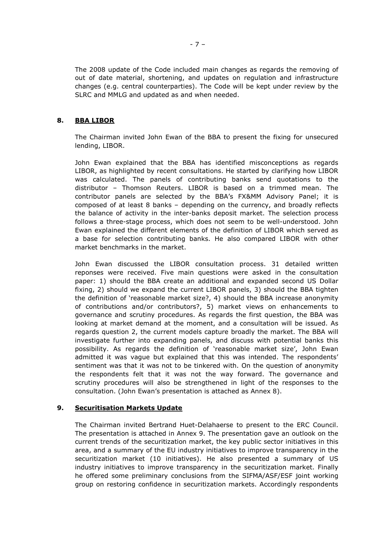The 2008 update of the Code included main changes as regards the removing of out of date material, shortening, and updates on regulation and infrastructure changes (e.g. central counterparties). The Code will be kept under review by the SLRC and MMLG and updated as and when needed.

## **8. BBA LIBOR**

The Chairman invited John Ewan of the BBA to present the fixing for unsecured lending, LIBOR.

John Ewan explained that the BBA has identified misconceptions as regards LIBOR, as highlighted by recent consultations. He started by clarifying how LIBOR was calculated. The panels of contributing banks send quotations to the distributor – Thomson Reuters. LIBOR is based on a trimmed mean. The contributor panels are selected by the BBA's FX&MM Advisory Panel; it is composed of at least 8 banks – depending on the currency, and broadly reflects the balance of activity in the inter-banks deposit market. The selection process follows a three-stage process, which does not seem to be well-understood. John Ewan explained the different elements of the definition of LIBOR which served as a base for selection contributing banks. He also compared LIBOR with other market benchmarks in the market.

John Ewan discussed the LIBOR consultation process. 31 detailed written reponses were received. Five main questions were asked in the consultation paper: 1) should the BBA create an additional and expanded second US Dollar fixing, 2) should we expand the current LIBOR panels, 3) should the BBA tighten the definition of 'reasonable market size?, 4) should the BBA increase anonymity of contributions and/or contributors?, 5) market views on enhancements to governance and scrutiny procedures. As regards the first question, the BBA was looking at market demand at the moment, and a consultation will be issued. As regards question 2, the current models capture broadly the market. The BBA will investigate further into expanding panels, and discuss with potential banks this possibility. As regards the definition of 'reasonable market size', John Ewan admitted it was vague but explained that this was intended. The respondents' sentiment was that it was not to be tinkered with. On the question of anonymity the respondents felt that it was not the way forward. The governance and scrutiny procedures will also be strengthened in light of the responses to the consultation. (John Ewan's presentation is attached as Annex 8).

## **9. Securitisation Markets Update**

The Chairman invited Bertrand Huet-Delahaerse to present to the ERC Council. The presentation is attached in Annex 9. The presentation gave an outlook on the current trends of the securitization market, the key public sector initiatives in this area, and a summary of the EU industry initiatives to improve transparency in the securitization market (10 initiatives). He also presented a summary of US industry initiatives to improve transparency in the securitization market. Finally he offered some preliminary conclusions from the SIFMA/ASF/ESF joint working group on restoring confidence in securitization markets. Accordingly respondents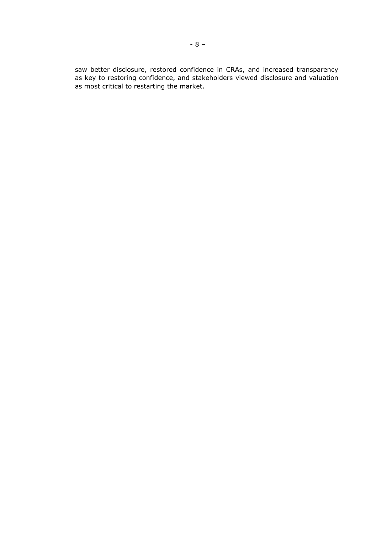saw better disclosure, restored confidence in CRAs, and increased transparency as key to restoring confidence, and stakeholders viewed disclosure and valuation as most critical to restarting the market.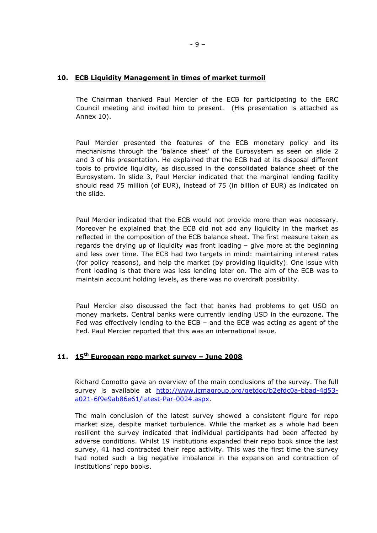### **10. ECB Liquidity Management in times of market turmoil**

The Chairman thanked Paul Mercier of the ECB for participating to the ERC Council meeting and invited him to present. (His presentation is attached as Annex 10).

Paul Mercier presented the features of the ECB monetary policy and its mechanisms through the 'balance sheet' of the Eurosystem as seen on slide 2 and 3 of his presentation. He explained that the ECB had at its disposal different tools to provide liquidity, as discussed in the consolidated balance sheet of the Eurosystem. In slide 3, Paul Mercier indicated that the marginal lending facility should read 75 million (of EUR), instead of 75 (in billion of EUR) as indicated on the slide.

Paul Mercier indicated that the ECB would not provide more than was necessary. Moreover he explained that the ECB did not add any liquidity in the market as reflected in the composition of the ECB balance sheet. The first measure taken as regards the drying up of liquidity was front loading – give more at the beginning and less over time. The ECB had two targets in mind: maintaining interest rates (for policy reasons), and help the market (by providing liquidity). One issue with front loading is that there was less lending later on. The aim of the ECB was to maintain account holding levels, as there was no overdraft possibility.

Paul Mercier also discussed the fact that banks had problems to get USD on money markets. Central banks were currently lending USD in the eurozone. The Fed was effectively lending to the ECB – and the ECB was acting as agent of the Fed. Paul Mercier reported that this was an international issue.

# **11. 15th European repo market survey – June 2008**

Richard Comotto gave an overview of the main conclusions of the survey. The full survey is available at [http://www.icmagroup.org/getdoc/b2efdc0a-bbad-4d53](http://www.icmagroup.org/getdoc/b2efdc0a-bbad-4d53-a021-6f9e9ab86e61/latest-Par-0024.aspx) [a021-6f9e9ab86e61/latest-Par-0024.aspx](http://www.icmagroup.org/getdoc/b2efdc0a-bbad-4d53-a021-6f9e9ab86e61/latest-Par-0024.aspx).

The main conclusion of the latest survey showed a consistent figure for repo market size, despite market turbulence. While the market as a whole had been resilient the survey indicated that individual participants had been affected by adverse conditions. Whilst 19 institutions expanded their repo book since the last survey, 41 had contracted their repo activity. This was the first time the survey had noted such a big negative imbalance in the expansion and contraction of institutions' repo books.